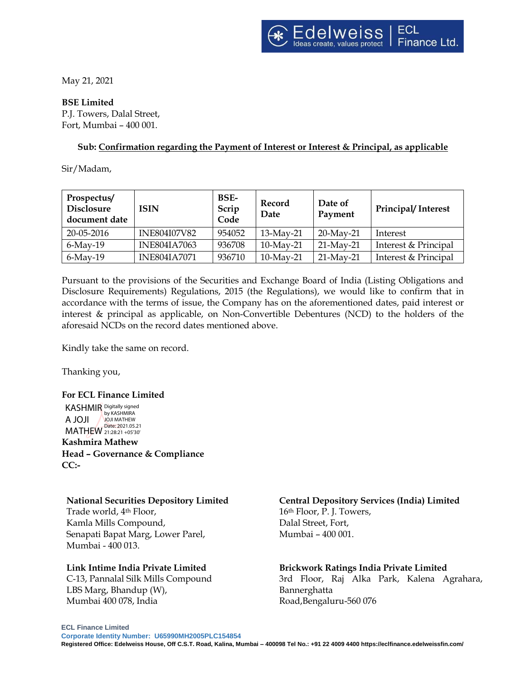May 21, 2021

### **BSE Limited**

P.J. Towers, Dalal Street, Fort, Mumbai – 400 001.

### **Sub: Confirmation regarding the Payment of Interest or Interest & Principal, as applicable**

Sir/Madam,

| Prospectus/<br><b>Disclosure</b><br>document date | ISIN                | <b>BSE-</b><br>Scrip<br>Code | Record<br>Date | Date of<br>Payment | <b>Principal/Interest</b> |
|---------------------------------------------------|---------------------|------------------------------|----------------|--------------------|---------------------------|
| 20-05-2016                                        | INE804I07V82        | 954052                       | $13-Mav-21$    | $20$ -May-21       | Interest                  |
| $6$ -May-19                                       | <b>INE804IA7063</b> | 936708                       | $10-Mav-21$    | $21$ -May-21       | Interest & Principal      |
| $6$ -May-19                                       | <b>INE804IA7071</b> | 936710                       | $10-Mav-21$    | $21-Mav-21$        | Interest & Principal      |

Pursuant to the provisions of the Securities and Exchange Board of India (Listing Obligations and Disclosure Requirements) Regulations, 2015 (the Regulations), we would like to confirm that in accordance with the terms of issue, the Company has on the aforementioned dates, paid interest or interest & principal as applicable, on Non-Convertible Debentures (NCD) to the holders of the aforesaid NCDs on the record dates mentioned above.

Kindly take the same on record.

Thanking you,

**For ECL Finance Limited**  KASHMIR Digitally signed A JOJI MATHEW 21:28:21 +05'30' by KASHMIRA JOJI MATHEW

**Kashmira Mathew Head – Governance & Compliance CC:-**

### **National Securities Depository Limited**

Trade world, 4th Floor, Kamla Mills Compound, Senapati Bapat Marg, Lower Parel, Mumbai - 400 013.

# **Link Intime India Private Limited**

C‐13, Pannalal Silk Mills Compound LBS Marg, Bhandup (W), Mumbai 400 078, India

# **Central Depository Services (India) Limited**

16th Floor, P. J. Towers, Dalal Street, Fort, Mumbai – 400 001.

# **Brickwork Ratings India Private Limited**

3rd Floor, Raj Alka Park, Kalena Agrahara, Bannerghatta Road,Bengaluru-560 076